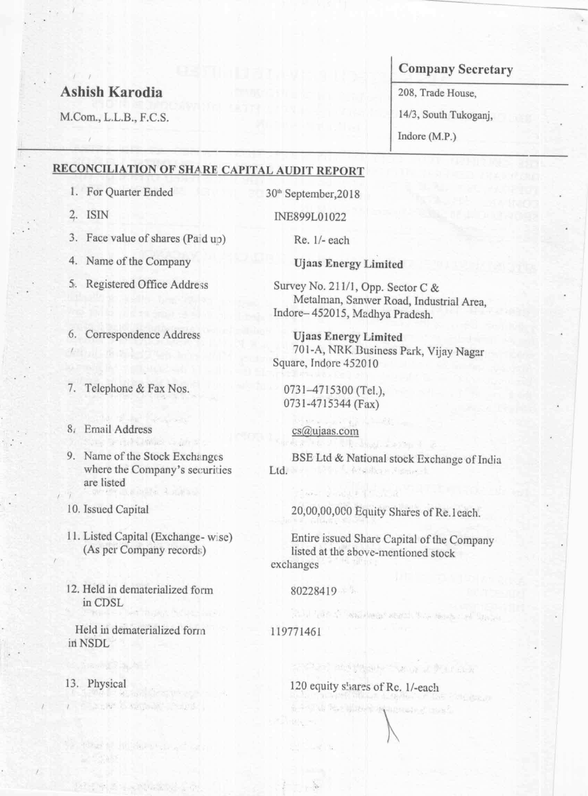# Ashish Karodia

M.Com., L.L.B., F.C.S.

## Company Secretary

208, Trade House,

14/3, South Tukoganj,

Indore (M.P.)

# Company Secretary<br>
208, Trade House,<br>
208, Trade House,<br>
14/3, South Tukoganj,<br>
Indore (M.P.)<br>
RE CAPITAL AUDIT REPORT<br>
30<sup>th</sup> September, 2018<br>
INE899L01022<br>
Re. 1/- each RECONCILIATION OF SHARE CAPITAL AUDIT REPORT

- $\ell$  and a set  $\ell$  and  $\ell$ 6. Correspondence Address
- 7. Telephone & Fax Nos.
- 81 Email Address
- 9. Name of the Stock Exchanges where the Company's securities are listed

Single British Chinese County of

- 1. For Quarter Ended
- 2. lSIN
- $3.$ Face value of shares (Paid up)
- Name of the Company 4.
- $5.$ Registered Office Address

Survey No. 211/], Opp. Sector C & Metalman, Sanwer Road, Industrial Area, Indore-452015, Madhya Pradesh.

10. Issued Capital

- 11. Listed Capital (Exchange- w:se) (As per Company records)
- 12. Held in dematerialized form in CDSL

Entire issued Share Capital of the Company listed at the above-mentioned stock exchanges

### Held in dematerialized form in NSDL

# 13. Physical

e Saet

ld, havig Rajet

A PERSONAL PUBLIC PROPERTY

attempt for the bright was a completed

# 120 equity shares of Re. 1/-each

A 4-STAN Port of the PLAN AND MONEY OF THE PLA

30'h September,2018

INE899L01022

Re. l/- each

**Ujaas Energy Limited** 

Ujaas Energy Limited 701-A, NRK Business Park, Vijay Nagar Square, Indore 452010

0731—4715300 (Tel.), 0731—4715344 (Fax)

the summer of the in-

### cs@ujaas.com

BSE Ltd & National stock Exchange of India Ltd. **시 보기 이 아이 나는 12.77 km** 

The Secret Providence of the Secret Property of the

The Party of the Control of the Control of

20,00,00,000 Equity Shares of Re.1each.

80228419

119771461

alan

만 [ 모든] N

 $\frac{1}{2}$ 

which is the state of the state of a state of the state of the state of the state

the state of the state of the state of the state of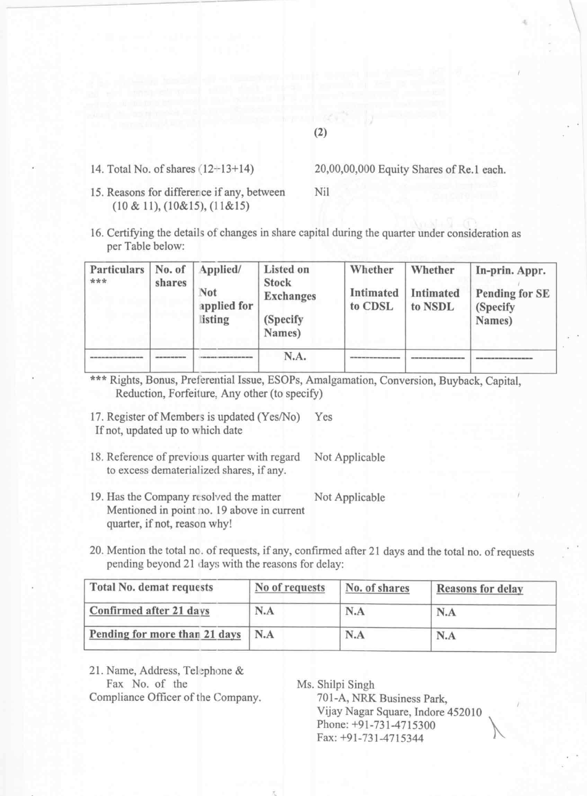# (2)

14. Total No. of shares  $(12+13+14)$  20,00,00,000 Equity Shares of Re.1 each.

15. Reasons for difference if any, between Nil (10 & 11), (10&15), (l 1&15)

16. Certifying the details of changes in share capital during the quarter under consideration as per Table below:

\*\*\* Rights, Bonus, Preferential Issue, ESOPs, Amalgamation, Conversion, Buyback, Capital, Reduction, Forfeiture, Any other (to specify)

17. Register of Members is updated (Yes/No) Yes If not, updated up to which date

- 18. Reference of previous quarter with regard Not Applicable to excess dematerialized shares, if any.
- 19. Has the Company resolved the matter Not Applicable Mentioned in point no. <sup>19</sup> above in current quarter, if not, reason why!
- 20. Mention the total no. of requests, ifany, confirmed after <sup>21</sup> days and the total no. of requests pending beyond 21 days with the reasons for delay:

| Particulars<br>*** | No. of<br>shares | Applied/<br>Not<br>applied for<br>listing | <b>Listed on</b><br><b>Stock</b><br><b>Exchanges</b><br>(Specify)<br>Names) | Whether<br>Intimated<br>to CDSL | Whether<br><b>Intimated</b><br>to NSDL | In-prin. Appr.<br><b>Pending for SE</b><br>(Specify)<br>Names) |
|--------------------|------------------|-------------------------------------------|-----------------------------------------------------------------------------|---------------------------------|----------------------------------------|----------------------------------------------------------------|
|                    |                  |                                           | N.A.                                                                        |                                 |                                        |                                                                |

Ms. Shilpi Singh<br>701-A, NRK Business Park, Vijay Nagar Square, Indore 452010 Phone: +91-731-4715300 Fax: +91-731-4715344

'

| <b>Total No. demat requests</b> | No of requests | No. of shares | <b>Reasons for delay</b> |
|---------------------------------|----------------|---------------|--------------------------|
| Confirmed after 21 days         | N.A            | N.A           | N.A                      |

| <b>Pending for more than 21 days</b> N.A | N.A | N.A |
|------------------------------------------|-----|-----|

21. Name, Address, Telephone &<br>Fax No. of the Compliance Officer of the Company.